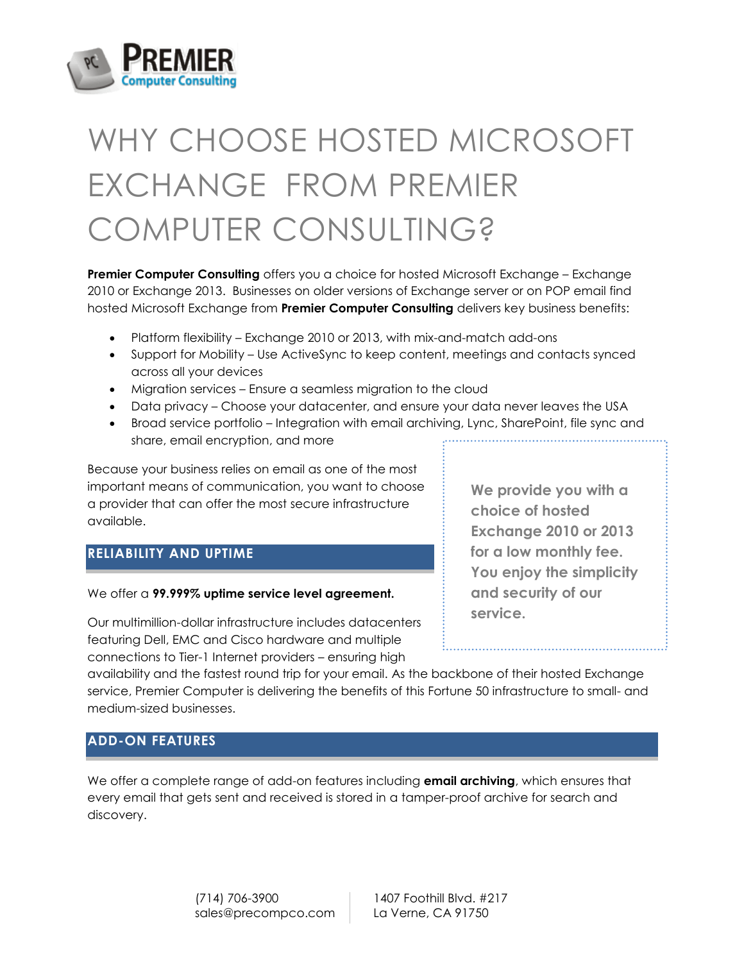

# WHY CHOOSE HOSTED MICROSOFT EXCHANGE FROM PREMIER COMPUTER CONSULTING?

**Premier Computer Consulting** offers you a choice for hosted Microsoft Exchange – Exchange 2010 or Exchange 2013. Businesses on older versions of Exchange server or on POP email find hosted Microsoft Exchange from **Premier Computer Consulting** delivers key business benefits:

- Platform flexibility Exchange 2010 or 2013, with mix-and-match add-ons
- Support for Mobility Use ActiveSync to keep content, meetings and contacts synced across all your devices
- Migration services Ensure a seamless migration to the cloud
- Data privacy Choose your datacenter, and ensure your data never leaves the USA
- Broad service portfolio Integration with email archiving, Lync, SharePoint, file sync and share, email encryption, and more

Because your business relies on email as one of the most important means of communication, you want to choose a provider that can offer the most secure infrastructure available.

### **RELIABILITY AND UPTIME**

#### We offer a **99.999% uptime service level agreement.**

Our multimillion-dollar infrastructure includes datacenters featuring Dell, EMC and Cisco hardware and multiple connections to Tier-1 Internet providers – ensuring high

**We provide you with a choice of hosted Exchange 2010 or 2013 for a low monthly fee. You enjoy the simplicity and security of our service.**

availability and the fastest round trip for your email. As the backbone of their hosted Exchange service, Premier Computer is delivering the benefits of this Fortune 50 infrastructure to small- and medium-sized businesses.

### **ADD-ON FEATURES**

We offer a complete range of add-on features including **email archiving**, which ensures that every email that gets sent and received is stored in a tamper-proof archive for search and discovery.